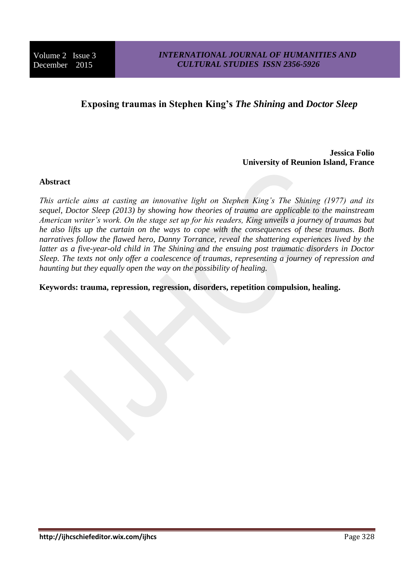# **Exposing traumas in Stephen King's** *The Shining* **and** *Doctor Sleep*

**Jessica Folio University of Reunion Island, France**

## **Abstract**

*This article aims at casting an innovative light on Stephen King's The Shining (1977) and its sequel, Doctor Sleep (2013) by showing how theories of trauma are applicable to the mainstream American writer's work. On the stage set up for his readers, King unveils a journey of traumas but he also lifts up the curtain on the ways to cope with the consequences of these traumas. Both narratives follow the flawed hero, Danny Torrance, reveal the shattering experiences lived by the latter as a five-year-old child in The Shining and the ensuing post traumatic disorders in Doctor Sleep. The texts not only offer a coalescence of traumas, representing a journey of repression and haunting but they equally open the way on the possibility of healing.* 

**Keywords: trauma, repression, regression, disorders, repetition compulsion, healing.**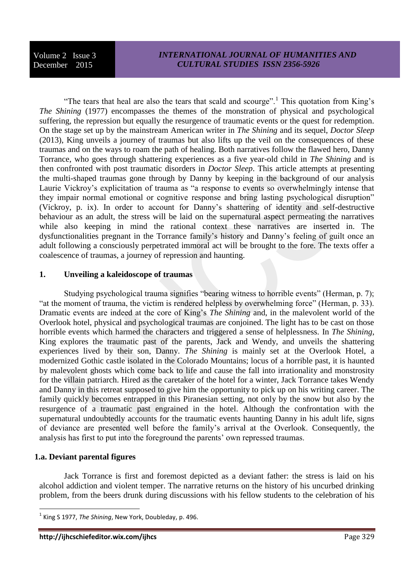"The tears that heal are also the tears that scald and scourge".<sup>1</sup> This quotation from King's *The Shining* (1977) encompasses the themes of the monstration of physical and psychological suffering, the repression but equally the resurgence of traumatic events or the quest for redemption. On the stage set up by the mainstream American writer in *The Shining* and its sequel, *Doctor Sleep* (2013), King unveils a journey of traumas but also lifts up the veil on the consequences of these traumas and on the ways to roam the path of healing. Both narratives follow the flawed hero, Danny Torrance, who goes through shattering experiences as a five year-old child in *The Shining* and is then confronted with post traumatic disorders in *Doctor Sleep*. This article attempts at presenting the multi-shaped traumas gone through by Danny by keeping in the background of our analysis Laurie Vickroy's explicitation of trauma as "a response to events so overwhelmingly intense that they impair normal emotional or cognitive response and bring lasting psychological disruption" (Vickroy, p. ix). In order to account for Danny's shattering of identity and self-destructive behaviour as an adult, the stress will be laid on the supernatural aspect permeating the narratives while also keeping in mind the rational context these narratives are inserted in. The dysfunctionalities pregnant in the Torrance family's history and Danny's feeling of guilt once an adult following a consciously perpetrated immoral act will be brought to the fore. The texts offer a coalescence of traumas, a journey of repression and haunting.

#### **1. Unveiling a kaleidoscope of traumas**

Studying psychological trauma signifies "bearing witness to horrible events" (Herman, p. 7); "at the moment of trauma, the victim is rendered helpless by overwhelming force" (Herman, p. 33). Dramatic events are indeed at the core of King's *The Shining* and, in the malevolent world of the Overlook hotel, physical and psychological traumas are conjoined. The light has to be cast on those horrible events which harmed the characters and triggered a sense of helplessness. In *The Shining*, King explores the traumatic past of the parents, Jack and Wendy, and unveils the shattering experiences lived by their son, Danny. *The Shining* is mainly set at the Overlook Hotel, a modernized Gothic castle isolated in the Colorado Mountains; locus of a horrible past, it is haunted by malevolent ghosts which come back to life and cause the fall into irrationality and monstrosity for the villain patriarch. Hired as the caretaker of the hotel for a winter, Jack Torrance takes Wendy and Danny in this retreat supposed to give him the opportunity to pick up on his writing career. The family quickly becomes entrapped in this Piranesian setting, not only by the snow but also by the resurgence of a traumatic past engrained in the hotel. Although the confrontation with the supernatural undoubtedly accounts for the traumatic events haunting Danny in his adult life, signs of deviance are presented well before the family's arrival at the Overlook. Consequently, the analysis has first to put into the foreground the parents' own repressed traumas.

#### **1.a. Deviant parental figures**

**.** 

Jack Torrance is first and foremost depicted as a deviant father: the stress is laid on his alcohol addiction and violent temper. The narrative returns on the history of his uncurbed drinking problem, from the beers drunk during discussions with his fellow students to the celebration of his

<sup>&</sup>lt;sup>1</sup> King S 1977, *The Shining*, New York, Doubleday, p. 496.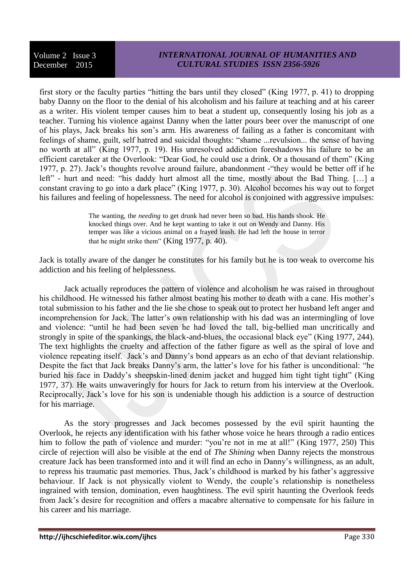first story or the faculty parties "hitting the bars until they closed" (King 1977, p. 41) to dropping baby Danny on the floor to the denial of his alcoholism and his failure at teaching and at his career as a writer. His violent temper causes him to beat a student up, consequently losing his job as a teacher. Turning his violence against Danny when the latter pours beer over the manuscript of one of his plays, Jack breaks his son's arm. His awareness of failing as a father is concomitant with feelings of shame, guilt, self hatred and suicidal thoughts: "shame ...revulsion... the sense of having no worth at all" (King 1977, p. 19). His unresolved addiction foreshadows his failure to be an efficient caretaker at the Overlook: "Dear God, he could use a drink. Or a thousand of them" (King 1977, p. 27). Jack's thoughts revolve around failure, abandonment -"they would be better off if he left" - hurt and need: "his daddy hurt almost all the time, mostly about the Bad Thing. […] a constant craving to go into a dark place" (King 1977, p. 30). Alcohol becomes his way out to forget his failures and feeling of hopelessness. The need for alcohol is conjoined with aggressive impulses:

> The wanting, the *needing* to get drunk had never been so bad. His hands shook. He knocked things over. And he kept wanting to take it out on Wendy and Danny. His temper was like a vicious animal on a frayed leash. He had left the house in terror that he might strike them" (King 1977, p. 40).

Jack is totally aware of the danger he constitutes for his family but he is too weak to overcome his addiction and his feeling of helplessness.

Jack actually reproduces the pattern of violence and alcoholism he was raised in throughout his childhood. He witnessed his father almost beating his mother to death with a cane. His mother's total submission to his father and the lie she chose to speak out to protect her husband left anger and incomprehension for Jack. The latter's own relationship with his dad was an intermingling of love and violence: "until he had been seven he had loved the tall, big-bellied man uncritically and strongly in spite of the spankings, the black-and-blues, the occasional black eye" (King 1977, 244). The text highlights the cruelty and affection of the father figure as well as the spiral of love and violence repeating itself. Jack's and Danny's bond appears as an echo of that deviant relationship. Despite the fact that Jack breaks Danny's arm, the latter's love for his father is unconditional: "he buried his face in Daddy's sheepskin-lined denim jacket and hugged him tight tight tight" (King 1977, 37). He waits unwaveringly for hours for Jack to return from his interview at the Overlook. Reciprocally, Jack's love for his son is undeniable though his addiction is a source of destruction for his marriage.

As the story progresses and Jack becomes possessed by the evil spirit haunting the Overlook, he rejects any identification with his father whose voice he hears through a radio entices him to follow the path of violence and murder: "you're not in me at all!" (King 1977, 250) This circle of rejection will also be visible at the end of *The Shining* when Danny rejects the monstrous creature Jack has been transformed into and it will find an echo in Danny's willingness, as an adult, to repress his traumatic past memories. Thus, Jack's childhood is marked by his father's aggressive behaviour. If Jack is not physically violent to Wendy, the couple's relationship is nonetheless ingrained with tension, domination, even haughtiness. The evil spirit haunting the Overlook feeds from Jack's desire for recognition and offers a macabre alternative to compensate for his failure in his career and his marriage.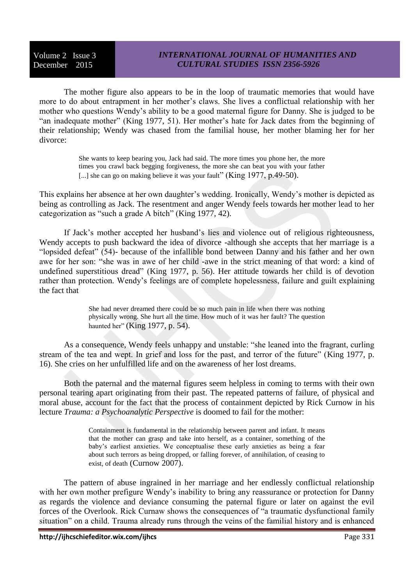## *INTERNATIONAL JOURNAL OF HUMANITIES AND CULTURAL STUDIES ISSN 2356-5926*

The mother figure also appears to be in the loop of traumatic memories that would have more to do about entrapment in her mother's claws. She lives a conflictual relationship with her mother who questions Wendy's ability to be a good maternal figure for Danny. She is judged to be "an inadequate mother" (King 1977, 51). Her mother's hate for Jack dates from the beginning of their relationship; Wendy was chased from the familial house, her mother blaming her for her divorce:

> She wants to keep bearing you, Jack had said. The more times you phone her, the more times you crawl back begging forgiveness, the more she can beat you with your father [...] she can go on making believe it was your fault" (King 1977, p.49-50).

This explains her absence at her own daughter's wedding. Ironically, Wendy's mother is depicted as being as controlling as Jack. The resentment and anger Wendy feels towards her mother lead to her categorization as "such a grade A bitch" (King 1977, 42).

If Jack's mother accepted her husband's lies and violence out of religious righteousness, Wendy accepts to push backward the idea of divorce -although she accepts that her marriage is a "lopsided defeat" (54)- because of the infallible bond between Danny and his father and her own awe for her son: "she was in awe of her child -awe in the strict meaning of that word: a kind of undefined superstitious dread" (King 1977, p. 56). Her attitude towards her child is of devotion rather than protection. Wendy's feelings are of complete hopelessness, failure and guilt explaining the fact that

> She had never dreamed there could be so much pain in life when there was nothing physically wrong. She hurt all the time. How much of it was her fault? The question haunted her" (King 1977, p. 54).

As a consequence, Wendy feels unhappy and unstable: "she leaned into the fragrant, curling stream of the tea and wept. In grief and loss for the past, and terror of the future" (King 1977, p. 16). She cries on her unfulfilled life and on the awareness of her lost dreams.

Both the paternal and the maternal figures seem helpless in coming to terms with their own personal tearing apart originating from their past. The repeated patterns of failure, of physical and moral abuse, account for the fact that the process of containment depicted by Rick Curnow in his lecture *Trauma: a Psychoanalytic Perspective* is doomed to fail for the mother:

> Containment is fundamental in the relationship between parent and infant. It means that the mother can grasp and take into herself, as a container, something of the baby's earliest anxieties. We conceptualise these early anxieties as being a fear about such terrors as being dropped, or falling forever, of annihilation, of ceasing to exist, of death (Curnow 2007).

The pattern of abuse ingrained in her marriage and her endlessly conflictual relationship with her own mother prefigure Wendy's inability to bring any reassurance or protection for Danny as regards the violence and deviance consuming the paternal figure or later on against the evil forces of the Overlook. Rick Curnaw shows the consequences of "a traumatic dysfunctional family situation" on a child. Trauma already runs through the veins of the familial history and is enhanced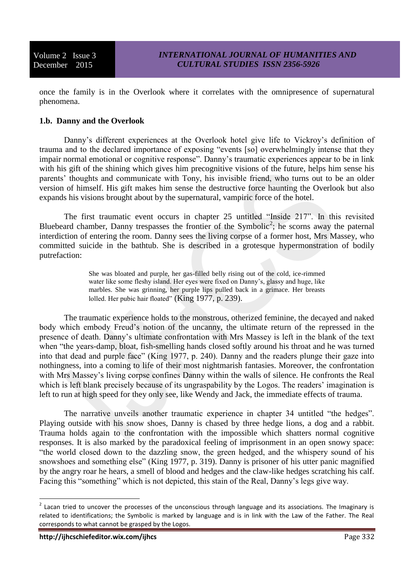once the family is in the Overlook where it correlates with the omnipresence of supernatural phenomena.

## **1.b. Danny and the Overlook**

Danny's different experiences at the Overlook hotel give life to Vickroy's definition of trauma and to the declared importance of exposing "events [so] overwhelmingly intense that they impair normal emotional or cognitive response". Danny's traumatic experiences appear to be in link with his gift of the shining which gives him precognitive visions of the future, helps him sense his parents' thoughts and communicate with Tony, his invisible friend, who turns out to be an older version of himself. His gift makes him sense the destructive force haunting the Overlook but also expands his visions brought about by the supernatural, vampiric force of the hotel.

The first traumatic event occurs in chapter 25 untitled "Inside 217". In this revisited Bluebeard chamber, Danny trespasses the frontier of the Symbolic<sup>2</sup>; he scorns away the paternal interdiction of entering the room. Danny sees the living corpse of a former host, Mrs Massey, who committed suicide in the bathtub. She is described in a grotesque hypermonstration of bodily putrefaction:

> She was bloated and purple, her gas-filled belly rising out of the cold, ice-rimmed water like some fleshy island. Her eyes were fixed on Danny's, glassy and huge, like marbles. She was grinning, her purple lips pulled back in a grimace. Her breasts lolled. Her pubic hair floated" (King 1977, p. 239).

The traumatic experience holds to the monstrous, otherized feminine, the decayed and naked body which embody Freud's notion of the uncanny, the ultimate return of the repressed in the presence of death. Danny's ultimate confrontation with Mrs Massey is left in the blank of the text when "the years-damp, bloat, fish-smelling hands closed softly around his throat and he was turned into that dead and purple face" (King 1977, p. 240). Danny and the readers plunge their gaze into nothingness, into a coming to life of their most nightmarish fantasies. Moreover, the confrontation with Mrs Massey's living corpse confines Danny within the walls of silence. He confronts the Real which is left blank precisely because of its ungraspability by the Logos. The readers' imagination is left to run at high speed for they only see, like Wendy and Jack, the immediate effects of trauma.

The narrative unveils another traumatic experience in chapter 34 untitled "the hedges". Playing outside with his snow shoes, Danny is chased by three hedge lions, a dog and a rabbit. Trauma holds again to the confrontation with the impossible which shatters normal cognitive responses. It is also marked by the paradoxical feeling of imprisonment in an open snowy space: "the world closed down to the dazzling snow, the green hedged, and the whispery sound of his snowshoes and something else" (King 1977, p. 319). Danny is prisoner of his utter panic magnified by the angry roar he hears, a smell of blood and hedges and the claw-like hedges scratching his calf. Facing this "something" which is not depicted, this stain of the Real, Danny's legs give way.

**THE 2008**<br><sup>2</sup> Lacan tried to uncover the processes of the unconscious through language and its associations. The Imaginary is related to identifications; the Symbolic is marked by language and is in link with the Law of the Father. The Real corresponds to what cannot be grasped by the Logos.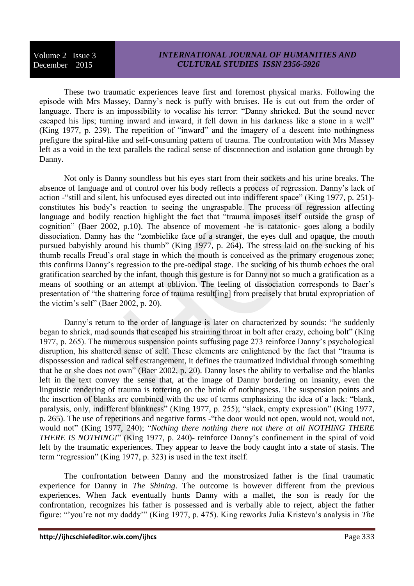These two traumatic experiences leave first and foremost physical marks. Following the episode with Mrs Massey, Danny's neck is puffy with bruises. He is cut out from the order of language. There is an impossibility to vocalise his terror: "Danny shrieked. But the sound never escaped his lips; turning inward and inward, it fell down in his darkness like a stone in a well" (King 1977, p. 239). The repetition of "inward" and the imagery of a descent into nothingness prefigure the spiral-like and self-consuming pattern of trauma. The confrontation with Mrs Massey left as a void in the text parallels the radical sense of disconnection and isolation gone through by Danny.

Not only is Danny soundless but his eyes start from their sockets and his urine breaks. The absence of language and of control over his body reflects a process of regression. Danny's lack of action -"still and silent, his unfocused eyes directed out into indifferent space" (King 1977, p. 251) constitutes his body's reaction to seeing the ungraspable. The process of regression affecting language and bodily reaction highlight the fact that "trauma imposes itself outside the grasp of cognition" (Baer 2002, p.10). The absence of movement -he is catatonic- goes along a bodily dissociation. Danny has the "zombielike face of a stranger, the eyes dull and opaque, the mouth pursued babyishly around his thumb" (King 1977, p. 264). The stress laid on the sucking of his thumb recalls Freud's oral stage in which the mouth is conceived as the primary erogenous zone; this confirms Danny's regression to the pre-oedipal stage. The sucking of his thumb echoes the oral gratification searched by the infant, though this gesture is for Danny not so much a gratification as a means of soothing or an attempt at oblivion. The feeling of dissociation corresponds to Baer's presentation of "the shattering force of trauma result[ing] from precisely that brutal expropriation of the victim's self" (Baer 2002, p. 20).

Danny's return to the order of language is later on characterized by sounds: "he suddenly began to shriek, mad sounds that escaped his straining throat in bolt after crazy, echoing bolt" (King 1977, p. 265). The numerous suspension points suffusing page 273 reinforce Danny's psychological disruption, his shattered sense of self. These elements are enlightened by the fact that "trauma is dispossession and radical self estrangement, it defines the traumatized individual through something that he or she does not own" (Baer 2002, p. 20). Danny loses the ability to verbalise and the blanks left in the text convey the sense that, at the image of Danny bordering on insanity, even the linguistic rendering of trauma is tottering on the brink of nothingness. The suspension points and the insertion of blanks are combined with the use of terms emphasizing the idea of a lack: "blank, paralysis, only, indifferent blankness" (King 1977, p. 255); "slack, empty expression" (King 1977, p. 265). The use of repetitions and negative forms -"the door would not open, would not, would not, would not" (King 1977, 240); "*Nothing there nothing there not there at all NOTHING THERE THERE IS NOTHING!*" (King 1977, p. 240)- reinforce Danny's confinement in the spiral of void left by the traumatic experiences. They appear to leave the body caught into a state of stasis. The term "regression" (King 1977, p. 323) is used in the text itself.

The confrontation between Danny and the monstrosized father is the final traumatic experience for Danny in *The Shining*. The outcome is however different from the previous experiences. When Jack eventually hunts Danny with a mallet, the son is ready for the confrontation, recognizes his father is possessed and is verbally able to reject, abject the father figure: "'you're not my daddy'" (King 1977, p. 475). King reworks Julia Kristeva's analysis in *The*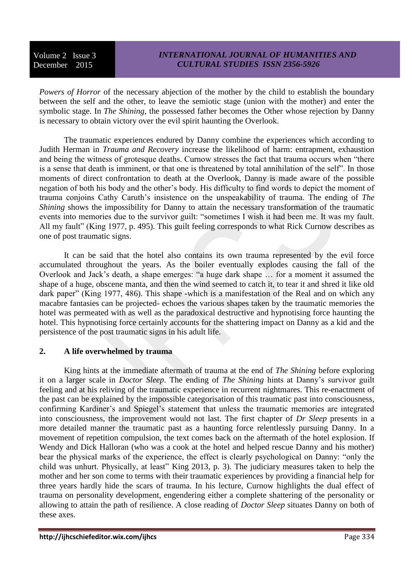*Powers of Horror* of the necessary abjection of the mother by the child to establish the boundary between the self and the other, to leave the semiotic stage (union with the mother) and enter the symbolic stage. In *The Shining*, the possessed father becomes the Other whose rejection by Danny is necessary to obtain victory over the evil spirit haunting the Overlook.

The traumatic experiences endured by Danny combine the experiences which according to Judith Herman in *Trauma and Recovery* increase the likelihood of harm: entrapment, exhaustion and being the witness of grotesque deaths. Curnow stresses the fact that trauma occurs when "there is a sense that death is imminent, or that one is threatened by total annihilation of the self". In those moments of direct confrontation to death at the Overlook, Danny is made aware of the possible negation of both his body and the other's body. His difficulty to find words to depict the moment of trauma conjoins Cathy Caruth's insistence on the unspeakability of trauma. The ending of *The Shining* shows the impossibility for Danny to attain the necessary transformation of the traumatic events into memories due to the survivor guilt: "sometimes I wish it had been me. It was my fault. All my fault" (King 1977, p. 495). This guilt feeling corresponds to what Rick Curnow describes as one of post traumatic signs.

It can be said that the hotel also contains its own trauma represented by the evil force accumulated throughout the years. As the boiler eventually explodes causing the fall of the Overlook and Jack's death, a shape emerges: "a huge dark shape … for a moment it assumed the shape of a huge, obscene manta, and then the wind seemed to catch it, to tear it and shred it like old dark paper" (King 1977, 486). This shape -which is a manifestation of the Real and on which any macabre fantasies can be projected- echoes the various shapes taken by the traumatic memories the hotel was permeated with as well as the paradoxical destructive and hypnotising force haunting the hotel. This hypnotising force certainly accounts for the shattering impact on Danny as a kid and the persistence of the post traumatic signs in his adult life.

# **2. A life overwhelmed by trauma**

King hints at the immediate aftermath of trauma at the end of *The Shining* before exploring it on a larger scale in *Doctor Sleep*. The ending of *The Shining* hints at Danny's survivor guilt feeling and at his reliving of the traumatic experience in recurrent nightmares. This re-enactment of the past can be explained by the impossible categorisation of this traumatic past into consciousness, confirming Kardiner's and Spiegel's statement that unless the traumatic memories are integrated into consciousness, the improvement would not last. The first chapter of *Dr Sleep* presents in a more detailed manner the traumatic past as a haunting force relentlessly pursuing Danny. In a movement of repetition compulsion, the text comes back on the aftermath of the hotel explosion. If Wendy and Dick Halloran (who was a cook at the hotel and helped rescue Danny and his mother) bear the physical marks of the experience, the effect is clearly psychological on Danny: "only the child was unhurt. Physically, at least" King 2013, p. 3). The judiciary measures taken to help the mother and her son come to terms with their traumatic experiences by providing a financial help for three years hardly hide the scars of trauma. In his lecture, Curnow highlights the dual effect of trauma on personality development, engendering either a complete shattering of the personality or allowing to attain the path of resilience. A close reading of *Doctor Sleep* situates Danny on both of these axes.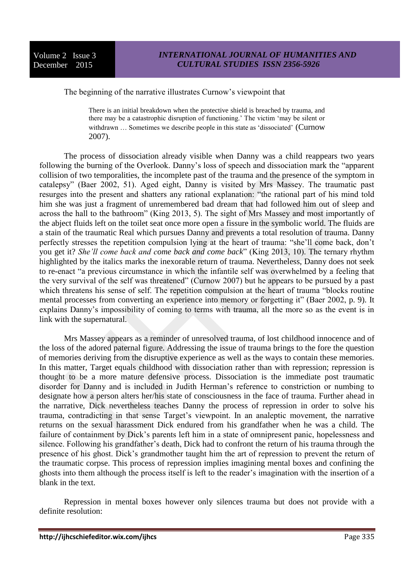#### The beginning of the narrative illustrates Curnow's viewpoint that

There is an initial breakdown when the protective shield is breached by trauma, and there may be a catastrophic disruption of functioning.' The victim 'may be silent or withdrawn ... Sometimes we describe people in this state as 'dissociated' (Curnow 2007).

The process of dissociation already visible when Danny was a child reappears two years following the burning of the Overlook. Danny's loss of speech and dissociation mark the "apparent collision of two temporalities, the incomplete past of the trauma and the presence of the symptom in catalepsy" (Baer 2002, 51). Aged eight, Danny is visited by Mrs Massey. The traumatic past resurges into the present and shatters any rational explanation: "the rational part of his mind told him she was just a fragment of unremembered bad dream that had followed him out of sleep and across the hall to the bathroom" (King 2013, 5). The sight of Mrs Massey and most importantly of the abject fluids left on the toilet seat once more open a fissure in the symbolic world. The fluids are a stain of the traumatic Real which pursues Danny and prevents a total resolution of trauma. Danny perfectly stresses the repetition compulsion lying at the heart of trauma: "she'll come back, don't you get it? *She'll come back and come back and come back*" (King 2013, 10). The ternary rhythm highlighted by the italics marks the inexorable return of trauma. Nevertheless, Danny does not seek to re-enact "a previous circumstance in which the infantile self was overwhelmed by a feeling that the very survival of the self was threatened" (Curnow 2007) but he appears to be pursued by a past which threatens his sense of self. The repetition compulsion at the heart of trauma "blocks routine" mental processes from converting an experience into memory or forgetting it" (Baer 2002, p. 9). It explains Danny's impossibility of coming to terms with trauma, all the more so as the event is in link with the supernatural.

Mrs Massey appears as a reminder of unresolved trauma, of lost childhood innocence and of the loss of the adored paternal figure. Addressing the issue of trauma brings to the fore the question of memories deriving from the disruptive experience as well as the ways to contain these memories. In this matter, Target equals childhood with dissociation rather than with repression; repression is thought to be a more mature defensive process. Dissociation is the immediate post traumatic disorder for Danny and is included in Judith Herman's reference to constriction or numbing to designate how a person alters her/his state of consciousness in the face of trauma. Further ahead in the narrative, Dick nevertheless teaches Danny the process of repression in order to solve his trauma, contradicting in that sense Target's viewpoint. In an analeptic movement, the narrative returns on the sexual harassment Dick endured from his grandfather when he was a child. The failure of containment by Dick's parents left him in a state of omnipresent panic, hopelessness and silence. Following his grandfather's death, Dick had to confront the return of his trauma through the presence of his ghost. Dick's grandmother taught him the art of repression to prevent the return of the traumatic corpse. This process of repression implies imagining mental boxes and confining the ghosts into them although the process itself is left to the reader's imagination with the insertion of a blank in the text.

Repression in mental boxes however only silences trauma but does not provide with a definite resolution: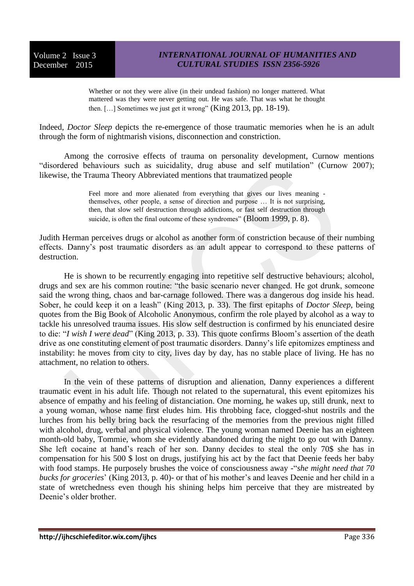Whether or not they were alive (in their undead fashion) no longer mattered. What mattered was they were never getting out. He was safe. That was what he thought then. […] Sometimes we just get it wrong" (King 2013, pp. 18-19).

Indeed, *Doctor Sleep* depicts the re-emergence of those traumatic memories when he is an adult through the form of nightmarish visions, disconnection and constriction.

Among the corrosive effects of trauma on personality development, Curnow mentions "disordered behaviours such as suicidality, drug abuse and self mutilation" (Curnow 2007); likewise, the Trauma Theory Abbreviated mentions that traumatized people

> Feel more and more alienated from everything that gives our lives meaning themselves, other people, a sense of direction and purpose … It is not surprising, then, that slow self destruction through addictions, or fast self destruction through suicide, is often the final outcome of these syndromes" (Bloom 1999, p. 8).

Judith Herman perceives drugs or alcohol as another form of constriction because of their numbing effects. Danny's post traumatic disorders as an adult appear to correspond to these patterns of destruction.

He is shown to be recurrently engaging into repetitive self destructive behaviours; alcohol, drugs and sex are his common routine: "the basic scenario never changed. He got drunk, someone said the wrong thing, chaos and bar-carnage followed. There was a dangerous dog inside his head. Sober, he could keep it on a leash" (King 2013, p. 33). The first epitaphs of *Doctor Sleep*, being quotes from the Big Book of Alcoholic Anonymous, confirm the role played by alcohol as a way to tackle his unresolved trauma issues. His slow self destruction is confirmed by his enunciated desire to die: "*I wish I were dead*" (King 2013, p. 33). This quote confirms Bloom's assertion of the death drive as one constituting element of post traumatic disorders. Danny's life epitomizes emptiness and instability: he moves from city to city, lives day by day, has no stable place of living. He has no attachment, no relation to others.

In the vein of these patterns of disruption and alienation, Danny experiences a different traumatic event in his adult life. Though not related to the supernatural, this event epitomizes his absence of empathy and his feeling of distanciation. One morning, he wakes up, still drunk, next to a young woman, whose name first eludes him. His throbbing face, clogged-shut nostrils and the lurches from his belly bring back the resurfacing of the memories from the previous night filled with alcohol, drug, verbal and physical violence. The young woman named Deenie has an eighteen month-old baby, Tommie, whom she evidently abandoned during the night to go out with Danny. She left cocaine at hand's reach of her son. Danny decides to steal the only 70\$ she has in compensation for his 500 \$ lost on drugs, justifying his act by the fact that Deenie feeds her baby with food stamps. He purposely brushes the voice of consciousness away -"*she might need that 70 bucks for groceries*' (King 2013, p. 40)- or that of his mother's and leaves Deenie and her child in a state of wretchedness even though his shining helps him perceive that they are mistreated by Deenie's older brother.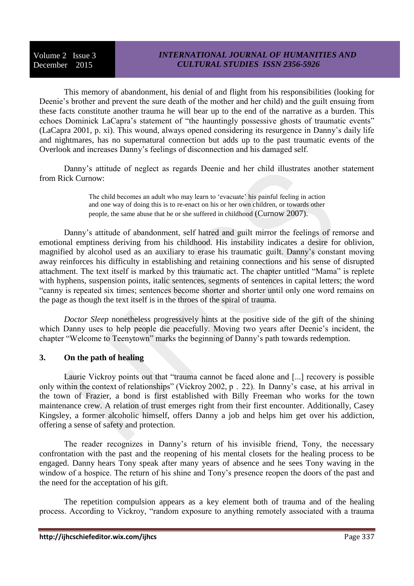# *INTERNATIONAL JOURNAL OF HUMANITIES AND CULTURAL STUDIES ISSN 2356-5926*

This memory of abandonment, his denial of and flight from his responsibilities (looking for Deenie's brother and prevent the sure death of the mother and her child) and the guilt ensuing from these facts constitute another trauma he will bear up to the end of the narrative as a burden. This echoes Dominick LaCapra's statement of "the hauntingly possessive ghosts of traumatic events" (LaCapra 2001, p. xi). This wound, always opened considering its resurgence in Danny's daily life and nightmares, has no supernatural connection but adds up to the past traumatic events of the Overlook and increases Danny's feelings of disconnection and his damaged self.

Danny's attitude of neglect as regards Deenie and her child illustrates another statement from Rick Curnow:

> The child becomes an adult who may learn to 'evacuate' his painful feeling in action and one way of doing this is to re-enact on his or her own children, or towards other people, the same abuse that he or she suffered in childhood (Curnow 2007).

Danny's attitude of abandonment, self hatred and guilt mirror the feelings of remorse and emotional emptiness deriving from his childhood. His instability indicates a desire for oblivion, magnified by alcohol used as an auxiliary to erase his traumatic guilt. Danny's constant moving away reinforces his difficulty in establishing and retaining connections and his sense of disrupted attachment. The text itself is marked by this traumatic act. The chapter untitled "Mama" is replete with hyphens, suspension points, italic sentences, segments of sentences in capital letters; the word "canny is repeated six times; sentences become shorter and shorter until only one word remains on the page as though the text itself is in the throes of the spiral of trauma.

*Doctor Sleep* nonetheless progressively hints at the positive side of the gift of the shining which Danny uses to help people die peacefully. Moving two years after Deenie's incident, the chapter "Welcome to Teenytown" marks the beginning of Danny's path towards redemption.

# **3. On the path of healing**

Laurie Vickroy points out that "trauma cannot be faced alone and [...] recovery is possible only within the context of relationships" (Vickroy 2002, p . 22). In Danny's case, at his arrival in the town of Frazier, a bond is first established with Billy Freeman who works for the town maintenance crew. A relation of trust emerges right from their first encounter. Additionally, Casey Kingsley, a former alcoholic himself, offers Danny a job and helps him get over his addiction, offering a sense of safety and protection.

The reader recognizes in Danny's return of his invisible friend, Tony, the necessary confrontation with the past and the reopening of his mental closets for the healing process to be engaged. Danny hears Tony speak after many years of absence and he sees Tony waving in the window of a hospice. The return of his shine and Tony's presence reopen the doors of the past and the need for the acceptation of his gift.

The repetition compulsion appears as a key element both of trauma and of the healing process. According to Vickroy, "random exposure to anything remotely associated with a trauma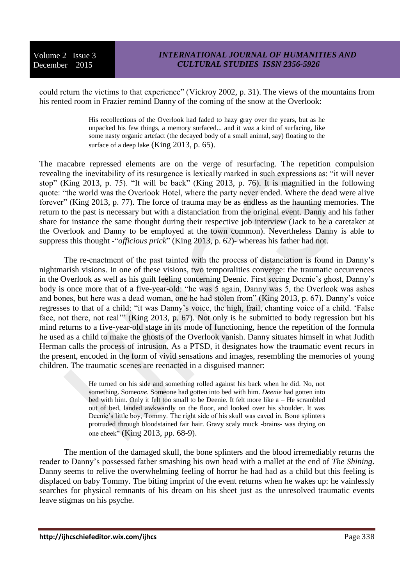could return the victims to that experience" (Vickroy 2002, p. 31). The views of the mountains from his rented room in Frazier remind Danny of the coming of the snow at the Overlook:

> His recollections of the Overlook had faded to hazy gray over the years, but as he unpacked his few things, a memory surfaced... and it *was* a kind of surfacing, like some nasty organic artefact (the decayed body of a small animal, say) floating to the surface of a deep lake (King 2013, p. 65).

The macabre repressed elements are on the verge of resurfacing. The repetition compulsion revealing the inevitability of its resurgence is lexically marked in such expressions as: "it will never stop" (King 2013, p. 75). "It will be back" (King 2013, p. 76). It is magnified in the following quote: "the world was the Overlook Hotel, where the party never ended. Where the dead were alive forever" (King 2013, p. 77). The force of trauma may be as endless as the haunting memories. The return to the past is necessary but with a distanciation from the original event. Danny and his father share for instance the same thought during their respective job interview (Jack to be a caretaker at the Overlook and Danny to be employed at the town common). Nevertheless Danny is able to suppress this thought -"*officious prick*" (King 2013, p. 62)- whereas his father had not.

The re-enactment of the past tainted with the process of distanciation is found in Danny's nightmarish visions. In one of these visions, two temporalities converge: the traumatic occurrences in the Overlook as well as his guilt feeling concerning Deenie. First seeing Deenie's ghost, Danny's body is once more that of a five-year-old: "he was 5 again, Danny was 5, the Overlook was ashes and bones, but here was a dead woman, one he had stolen from" (King 2013, p. 67). Danny's voice regresses to that of a child: "it was Danny's voice, the high, frail, chanting voice of a child. 'False face, not there, not real'" (King 2013, p. 67). Not only is he submitted to body regression but his mind returns to a five-year-old stage in its mode of functioning, hence the repetition of the formula he used as a child to make the ghosts of the Overlook vanish. Danny situates himself in what Judith Herman calls the process of intrusion. As a PTSD, it designates how the traumatic event recurs in the present, encoded in the form of vivid sensations and images, resembling the memories of young children. The traumatic scenes are reenacted in a disguised manner:

> He turned on his side and something rolled against his back when he did. No, not something. Some*one*. Someone had gotten into bed with him. *Deenie* had gotten into bed with him. Only it felt too small to be Deenie. It felt more like a – He scrambled out of bed, landed awkwardly on the floor, and looked over his shoulder. It was Deenie's little boy, Tommy. The right side of his skull was caved in. Bone splinters protruded through bloodstained fair hair. Gravy scaly muck -brains- was drying on one cheek" (King 2013, pp. 68-9).

The mention of the damaged skull, the bone splinters and the blood irremediably returns the reader to Danny's possessed father smashing his own head with a mallet at the end of *The Shining*. Danny seems to relive the overwhelming feeling of horror he had had as a child but this feeling is displaced on baby Tommy. The biting imprint of the event returns when he wakes up: he vainlessly searches for physical remnants of his dream on his sheet just as the unresolved traumatic events leave stigmas on his psyche.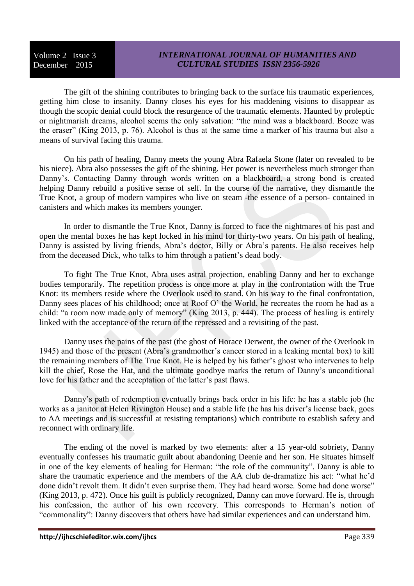The gift of the shining contributes to bringing back to the surface his traumatic experiences, getting him close to insanity. Danny closes his eyes for his maddening visions to disappear as though the scopic denial could block the resurgence of the traumatic elements. Haunted by proleptic or nightmarish dreams, alcohol seems the only salvation: "the mind was a blackboard. Booze was the eraser" (King 2013, p. 76). Alcohol is thus at the same time a marker of his trauma but also a means of survival facing this trauma.

On his path of healing, Danny meets the young Abra Rafaela Stone (later on revealed to be his niece). Abra also possesses the gift of the shining. Her power is nevertheless much stronger than Danny's. Contacting Danny through words written on a blackboard, a strong bond is created helping Danny rebuild a positive sense of self. In the course of the narrative, they dismantle the True Knot, a group of modern vampires who live on steam -the essence of a person- contained in canisters and which makes its members younger.

In order to dismantle the True Knot, Danny is forced to face the nightmares of his past and open the mental boxes he has kept locked in his mind for thirty-two years. On his path of healing, Danny is assisted by living friends, Abra's doctor, Billy or Abra's parents. He also receives help from the deceased Dick, who talks to him through a patient's dead body.

To fight The True Knot, Abra uses astral projection, enabling Danny and her to exchange bodies temporarily. The repetition process is once more at play in the confrontation with the True Knot: its members reside where the Overlook used to stand. On his way to the final confrontation, Danny sees places of his childhood; once at Roof O' the World, he recreates the room he had as a child: "a room now made only of memory" (King 2013, p. 444). The process of healing is entirely linked with the acceptance of the return of the repressed and a revisiting of the past.

Danny uses the pains of the past (the ghost of Horace Derwent, the owner of the Overlook in 1945) and those of the present (Abra's grandmother's cancer stored in a leaking mental box) to kill the remaining members of The True Knot. He is helped by his father's ghost who intervenes to help kill the chief, Rose the Hat, and the ultimate goodbye marks the return of Danny's unconditional love for his father and the acceptation of the latter's past flaws.

Danny's path of redemption eventually brings back order in his life: he has a stable job (he works as a janitor at Helen Rivington House) and a stable life (he has his driver's license back, goes to AA meetings and is successful at resisting temptations) which contribute to establish safety and reconnect with ordinary life.

The ending of the novel is marked by two elements: after a 15 year-old sobriety, Danny eventually confesses his traumatic guilt about abandoning Deenie and her son. He situates himself in one of the key elements of healing for Herman: "the role of the community". Danny is able to share the traumatic experience and the members of the AA club de-dramatize his act: "what he'd done didn't revolt them. It didn't even surprise them. They had heard worse. Some had done worse" (King 2013, p. 472). Once his guilt is publicly recognized, Danny can move forward. He is, through his confession, the author of his own recovery. This corresponds to Herman's notion of "commonality": Danny discovers that others have had similar experiences and can understand him.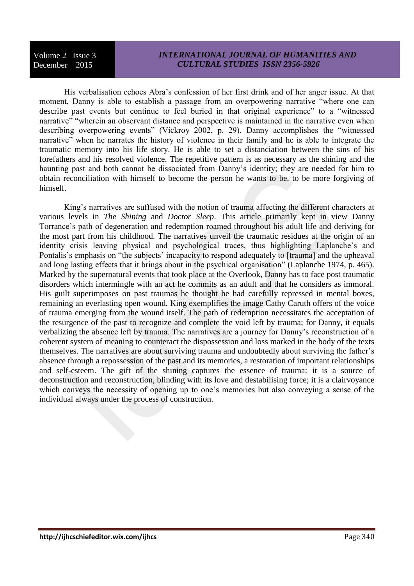His verbalisation echoes Abra's confession of her first drink and of her anger issue. At that moment, Danny is able to establish a passage from an overpowering narrative "where one can describe past events but continue to feel buried in that original experience" to a "witnessed narrative" "wherein an observant distance and perspective is maintained in the narrative even when describing overpowering events" (Vickroy 2002, p. 29). Danny accomplishes the "witnessed narrative" when he narrates the history of violence in their family and he is able to integrate the traumatic memory into his life story. He is able to set a distanciation between the sins of his forefathers and his resolved violence. The repetitive pattern is as necessary as the shining and the haunting past and both cannot be dissociated from Danny's identity; they are needed for him to obtain reconciliation with himself to become the person he wants to be, to be more forgiving of himself.

King's narratives are suffused with the notion of trauma affecting the different characters at various levels in *The Shining* and *Doctor Sleep*. This article primarily kept in view Danny Torrance's path of degeneration and redemption roamed throughout his adult life and deriving for the most part from his childhood. The narratives unveil the traumatic residues at the origin of an identity crisis leaving physical and psychological traces, thus highlighting Laplanche's and Pontalis's emphasis on "the subjects' incapacity to respond adequately to [trauma] and the upheaval and long lasting effects that it brings about in the psychical organisation" (Laplanche 1974, p. 465). Marked by the supernatural events that took place at the Overlook, Danny has to face post traumatic disorders which intermingle with an act he commits as an adult and that he considers as immoral. His guilt superimposes on past traumas he thought he had carefully repressed in mental boxes, remaining an everlasting open wound. King exemplifies the image Cathy Caruth offers of the voice of trauma emerging from the wound itself. The path of redemption necessitates the acceptation of the resurgence of the past to recognize and complete the void left by trauma; for Danny, it equals verbalizing the absence left by trauma. The narratives are a journey for Danny's reconstruction of a coherent system of meaning to counteract the dispossession and loss marked in the body of the texts themselves. The narratives are about surviving trauma and undoubtedly about surviving the father's absence through a repossession of the past and its memories, a restoration of important relationships and self-esteem. The gift of the shining captures the essence of trauma: it is a source of deconstruction and reconstruction, blinding with its love and destabilising force; it is a clairvoyance which conveys the necessity of opening up to one's memories but also conveying a sense of the individual always under the process of construction.